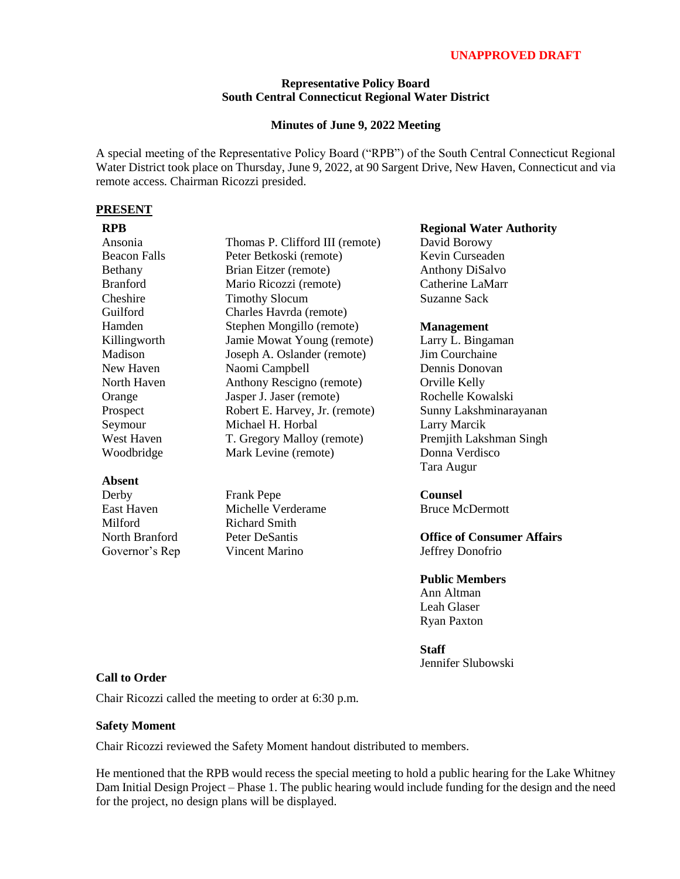# **UNAPPROVED DRAFT**

## **Representative Policy Board South Central Connecticut Regional Water District**

## **Minutes of June 9, 2022 Meeting**

A special meeting of the Representative Policy Board ("RPB") of the South Central Connecticut Regional Water District took place on Thursday, June 9, 2022, at 90 Sargent Drive, New Haven, Connecticut and via remote access. Chairman Ricozzi presided.

### **PRESENT**

| <b>RPB</b>                      |                                 |
|---------------------------------|---------------------------------|
| Ansonia                         | Thomas P. Clifford III (remote) |
| <b>Beacon Falls</b>             | Peter Betkoski (remote)         |
| Bethany                         | Brian Eitzer (remote)           |
| <b>Branford</b>                 | Mario Ricozzi (remote)          |
| Cheshire                        | <b>Timothy Slocum</b>           |
| Guilford                        | Charles Havrda (remote)         |
| Hamden                          | Stephen Mongillo (remote)       |
| Killingworth                    | Jamie Mowat Young (remote)      |
| Madison                         | Joseph A. Oslander (remote)     |
| New Haven                       | Naomi Campbell                  |
| North Haven                     | Anthony Rescigno (remote)       |
| Orange                          | Jasper J. Jaser (remote)        |
| Prospect                        | Robert E. Harvey, Jr. (remote)  |
| Seymour                         | Michael H. Horbal               |
| West Haven                      | T. Gregory Malloy (remote)      |
| Woodbridge                      | Mark Levine (remote)            |
| Absent                          |                                 |
| Derby                           | Frank Pepe                      |
| $\Gamma_{\alpha\alpha}$ + Haven | $M_2$ ahalla $M_2$ ndananaa     |

East Haven Milford North Branford Governor's Rep Michelle Verderame Richard Smith Peter DeSantis Vincent Marino

### **Regional Water Authority**

David Borowy Kevin Curseaden Anthony DiSalvo Catherine LaMarr Suzanne Sack

## **Management**

Larry L. Bingaman Jim Courchaine Dennis Donovan Orville Kelly Rochelle Kowalski Sunny Lakshminarayanan Larry Marcik Premjith Lakshman Singh Donna Verdisco Tara Augur

# **Counsel**

Bruce McDermott

**Office of Consumer Affairs** Jeffrey Donofrio

# **Public Members**

Ann Altman Leah Glaser Ryan Paxton

### **Staff**

Jennifer Slubowski

# **Call to Order**

Chair Ricozzi called the meeting to order at 6:30 p.m.

# **Safety Moment**

Chair Ricozzi reviewed the Safety Moment handout distributed to members.

He mentioned that the RPB would recess the special meeting to hold a public hearing for the Lake Whitney Dam Initial Design Project – Phase 1. The public hearing would include funding for the design and the need for the project, no design plans will be displayed.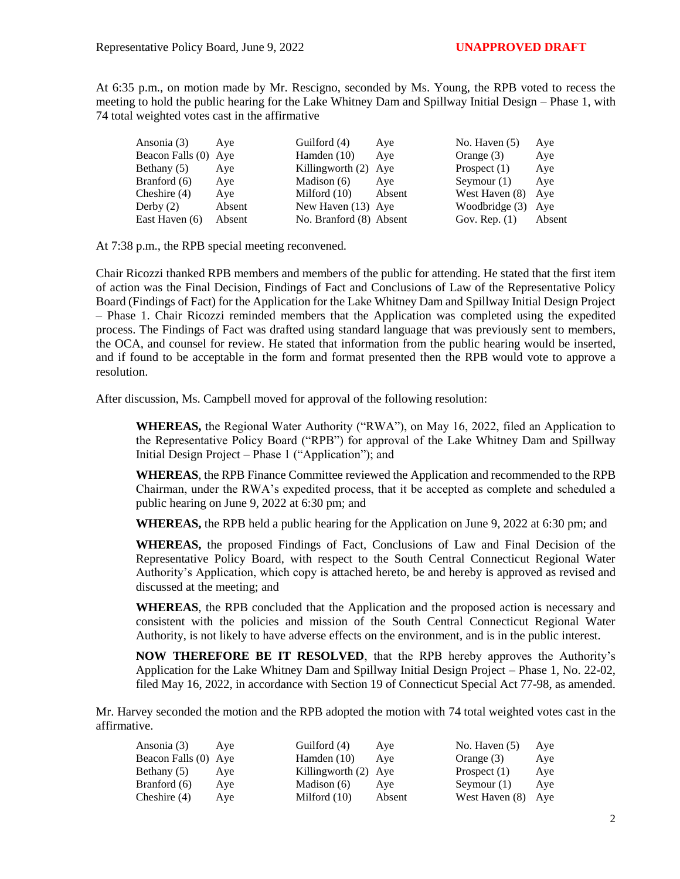At 6:35 p.m., on motion made by Mr. Rescigno, seconded by Ms. Young, the RPB voted to recess the meeting to hold the public hearing for the Lake Whitney Dam and Spillway Initial Design – Phase 1, with 74 total weighted votes cast in the affirmative

| Ansonia (3)          | Ave    | Guilford (4)            | Aye    | No. Haven $(5)$ | Aye    |
|----------------------|--------|-------------------------|--------|-----------------|--------|
| Beacon Falls (0) Aye |        | Hamden $(10)$           | Ave    | Orange $(3)$    | Aye    |
| Bethany (5)          | Aye    | Killingworth (2) Aye    |        | Prospect $(1)$  | Aye    |
| Branford (6)         | Aye    | Madison (6)             | Aye    | Seymour $(1)$   | Aye    |
| Cheshire $(4)$       | Aye    | Milford $(10)$          | Absent | West Haven (8)  | Ave    |
| Derby $(2)$          | Absent | New Haven $(13)$ Aye    |        | Woodbridge (3)  | Ave    |
| East Haven (6)       | Absent | No. Branford (8) Absent |        | Gov. Rep. $(1)$ | Absent |

At 7:38 p.m., the RPB special meeting reconvened.

Chair Ricozzi thanked RPB members and members of the public for attending. He stated that the first item of action was the Final Decision, Findings of Fact and Conclusions of Law of the Representative Policy Board (Findings of Fact) for the Application for the Lake Whitney Dam and Spillway Initial Design Project – Phase 1. Chair Ricozzi reminded members that the Application was completed using the expedited process. The Findings of Fact was drafted using standard language that was previously sent to members, the OCA, and counsel for review. He stated that information from the public hearing would be inserted, and if found to be acceptable in the form and format presented then the RPB would vote to approve a resolution.

After discussion, Ms. Campbell moved for approval of the following resolution:

**WHEREAS,** the Regional Water Authority ("RWA"), on May 16, 2022, filed an Application to the Representative Policy Board ("RPB") for approval of the Lake Whitney Dam and Spillway Initial Design Project – Phase 1 ("Application"); and

**WHEREAS**, the RPB Finance Committee reviewed the Application and recommended to the RPB Chairman, under the RWA's expedited process, that it be accepted as complete and scheduled a public hearing on June 9, 2022 at 6:30 pm; and

**WHEREAS,** the RPB held a public hearing for the Application on June 9, 2022 at 6:30 pm; and

**WHEREAS,** the proposed Findings of Fact, Conclusions of Law and Final Decision of the Representative Policy Board, with respect to the South Central Connecticut Regional Water Authority's Application, which copy is attached hereto, be and hereby is approved as revised and discussed at the meeting; and

**WHEREAS**, the RPB concluded that the Application and the proposed action is necessary and consistent with the policies and mission of the South Central Connecticut Regional Water Authority, is not likely to have adverse effects on the environment, and is in the public interest.

**NOW THEREFORE BE IT RESOLVED**, that the RPB hereby approves the Authority's Application for the Lake Whitney Dam and Spillway Initial Design Project – Phase 1, No. 22-02, filed May 16, 2022, in accordance with Section 19 of Connecticut Special Act 77-98, as amended.

Mr. Harvey seconded the motion and the RPB adopted the motion with 74 total weighted votes cast in the affirmative.

| Ansonia (3)          | Ave | Guilford (4)         | Ave    | No. Haven $(5)$ | Aye |
|----------------------|-----|----------------------|--------|-----------------|-----|
| Beacon Falls (0) Aye |     | Hamden $(10)$        | Ave    | Orange $(3)$    | Aye |
| Bethany (5)          | Ave | Killingworth (2) Aye |        | Prospect $(1)$  | Aye |
| Branford (6)         | Ave | Madison (6)          | Ave    | Seymour $(1)$   | Aye |
| Cheshire $(4)$       | Ave | Milford $(10)$       | Absent | West Haven (8)  | Aye |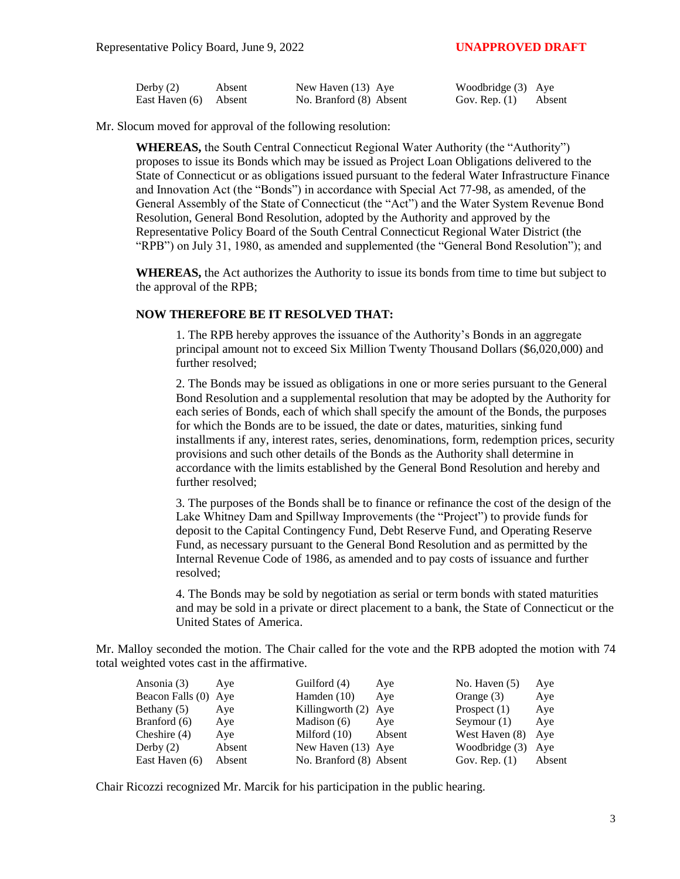| Derby $(2)$           | Absent | New Haven (13) Aye      | Woodbridge (3) Aye |        |
|-----------------------|--------|-------------------------|--------------------|--------|
| East Haven (6) Absent |        | No. Branford (8) Absent | Gov. Rep. $(1)$    | Absent |

Mr. Slocum moved for approval of the following resolution:

**WHEREAS,** the South Central Connecticut Regional Water Authority (the "Authority") proposes to issue its Bonds which may be issued as Project Loan Obligations delivered to the State of Connecticut or as obligations issued pursuant to the federal Water Infrastructure Finance and Innovation Act (the "Bonds") in accordance with Special Act 77-98, as amended, of the General Assembly of the State of Connecticut (the "Act") and the Water System Revenue Bond Resolution, General Bond Resolution, adopted by the Authority and approved by the Representative Policy Board of the South Central Connecticut Regional Water District (the "RPB") on July 31, 1980, as amended and supplemented (the "General Bond Resolution"); and

**WHEREAS,** the Act authorizes the Authority to issue its bonds from time to time but subject to the approval of the RPB;

## **NOW THEREFORE BE IT RESOLVED THAT:**

1. The RPB hereby approves the issuance of the Authority's Bonds in an aggregate principal amount not to exceed Six Million Twenty Thousand Dollars (\$6,020,000) and further resolved;

2. The Bonds may be issued as obligations in one or more series pursuant to the General Bond Resolution and a supplemental resolution that may be adopted by the Authority for each series of Bonds, each of which shall specify the amount of the Bonds, the purposes for which the Bonds are to be issued, the date or dates, maturities, sinking fund installments if any, interest rates, series, denominations, form, redemption prices, security provisions and such other details of the Bonds as the Authority shall determine in accordance with the limits established by the General Bond Resolution and hereby and further resolved;

3. The purposes of the Bonds shall be to finance or refinance the cost of the design of the Lake Whitney Dam and Spillway Improvements (the "Project") to provide funds for deposit to the Capital Contingency Fund, Debt Reserve Fund, and Operating Reserve Fund, as necessary pursuant to the General Bond Resolution and as permitted by the Internal Revenue Code of 1986, as amended and to pay costs of issuance and further resolved;

4. The Bonds may be sold by negotiation as serial or term bonds with stated maturities and may be sold in a private or direct placement to a bank, the State of Connecticut or the United States of America.

Mr. Malloy seconded the motion. The Chair called for the vote and the RPB adopted the motion with 74 total weighted votes cast in the affirmative.

| Ansonia (3)          | Ave    | Guilford (4)            | Aye    | No. Haven $(5)$  | Aye    |
|----------------------|--------|-------------------------|--------|------------------|--------|
| Beacon Falls (0) Aye |        | Hamden $(10)$           | Ave    | Orange $(3)$     | Aye    |
| Bethany (5)          | Aye    | Killingworth (2) Aye    |        | Prospect $(1)$   | Aye    |
| Branford (6)         | Aye    | Madison $(6)$           | Aye    | Seymour $(1)$    | Aye    |
| Cheshire $(4)$       | Aye    | Milford $(10)$          | Absent | West Haven (8)   | Ave    |
| Derby $(2)$          | Absent | New Haven (13) Aye      |        | Woodbridge $(3)$ | Ave    |
| East Haven (6)       | Absent | No. Branford (8) Absent |        | Gov. Rep. $(1)$  | Absent |

Chair Ricozzi recognized Mr. Marcik for his participation in the public hearing.